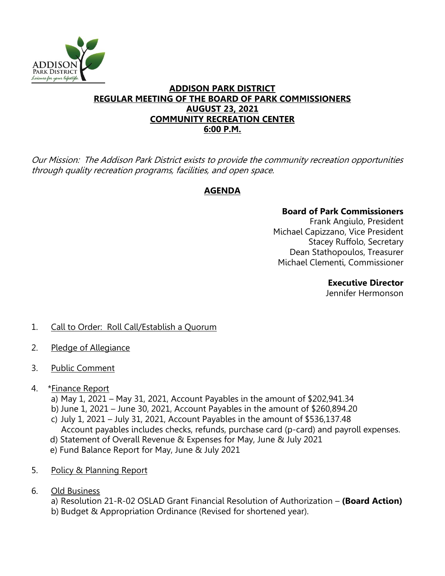

### **ADDISON PARK DISTRICT REGULAR MEETING OF THE BOARD OF PARK COMMISSIONERS AUGUST 23, 2021 COMMUNITY RECREATION CENTER 6:00 P.M.**

Our Mission: The Addison Park District exists to provide the community recreation opportunities through quality recreation programs, facilities, and open space.

# **AGENDA**

# **Board of Park Commissioners**

Frank Angiulo, President Michael Capizzano, Vice President Stacey Ruffolo, Secretary Dean Stathopoulos, Treasurer Michael Clementi, Commissioner

**Executive Director**

Jennifer Hermonson

# 1. Call to Order: Roll Call/Establish a Quorum

- 2. Pledge of Allegiance
- 3. Public Comment
- 4. \*Finance Report
	- a) May 1, 2021 May 31, 2021, Account Payables in the amount of \$202,941.34
	- b) June 1, 2021 June 30, 2021, Account Payables in the amount of \$260,894.20
	- c) July 1, 2021 July 31, 2021, Account Payables in the amount of \$536,137.48
	- Account payables includes checks, refunds, purchase card (p-card) and payroll expenses.
	- d) Statement of Overall Revenue & Expenses for May, June & July 2021
	- e) Fund Balance Report for May, June & July 2021
- 5. Policy & Planning Report
- 6. Old Business

a) Resolution 21-R-02 OSLAD Grant Financial Resolution of Authorization – **(Board Action)** b) Budget & Appropriation Ordinance (Revised for shortened year).